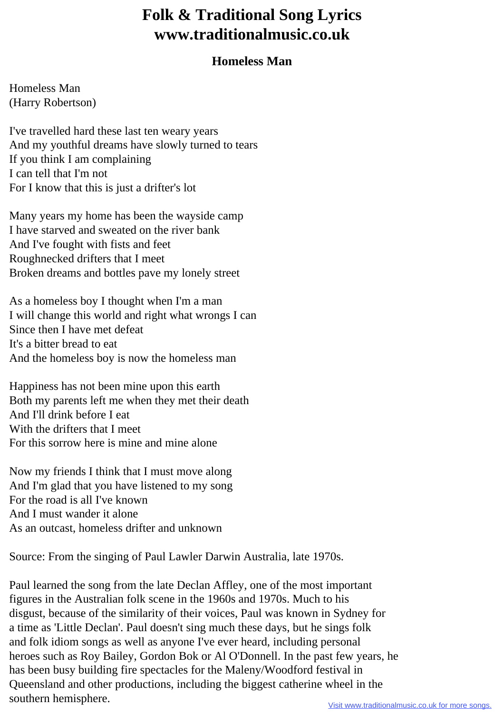## **Folk & Traditional Song Lyrics www.traditionalmusic.co.uk**

## **Homeless Man**

Homeless Man (Harry Robertson)

I've travelled hard these last ten weary years And my youthful dreams have slowly turned to tears If you think I am complaining I can tell that I'm not For I know that this is just a drifter's lot

Many years my home has been the wayside camp I have starved and sweated on the river bank And I've fought with fists and feet Roughnecked drifters that I meet Broken dreams and bottles pave my lonely street

As a homeless boy I thought when I'm a man I will change this world and right what wrongs I can Since then I have met defeat It's a bitter bread to eat And the homeless boy is now the homeless man

Happiness has not been mine upon this earth Both my parents left me when they met their death And I'll drink before I eat With the drifters that I meet For this sorrow here is mine and mine alone

Now my friends I think that I must move along And I'm glad that you have listened to my song For the road is all I've known And I must wander it alone As an outcast, homeless drifter and unknown

Source: From the singing of Paul Lawler Darwin Australia, late 1970s.

Paul learned the song from the late Declan Affley, one of the most important figures in the Australian folk scene in the 1960s and 1970s. Much to his disgust, because of the similarity of their voices, Paul was known in Sydney for a time as 'Little Declan'. Paul doesn't sing much these days, but he sings folk and folk idiom songs as well as anyone I've ever heard, including personal heroes such as Roy Bailey, Gordon Bok or Al O'Donnell. In the past few years, he has been busy building fire spectacles for the Maleny/Woodford festival in Queensland and other productions, including the biggest catherine wheel in the southern hemisphere.